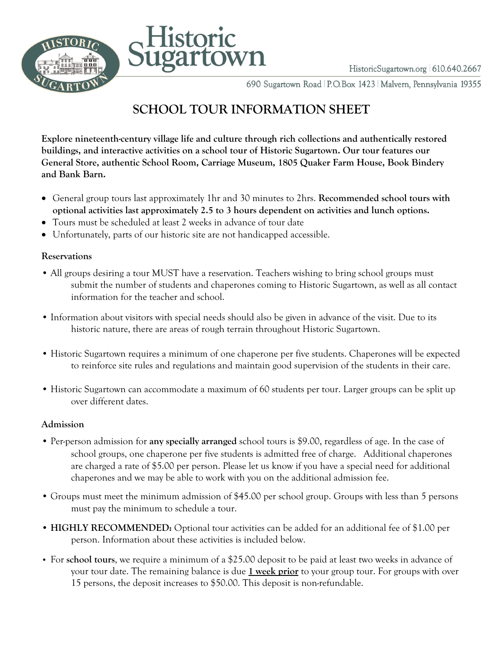



HistoricSugartown.org 610.640.2667

690 Sugartown Road | P.O.Box 1423 | Malvern, Pennsylvania 19355

# **SCHOOL TOUR INFORMATION SHEET**

**Explore nineteenth-century village life and culture through rich collections and authentically restored buildings, and interactive activities on a school tour of Historic Sugartown. Our tour features our General Store, authentic School Room, Carriage Museum, 1805 Quaker Farm House, Book Bindery and Bank Barn.**

- General group tours last approximately 1hr and 30 minutes to 2hrs. **Recommended school tours with optional activities last approximately 2.5 to 3 hours dependent on activities and lunch options.**
- Tours must be scheduled at least 2 weeks in advance of tour date
- Unfortunately, parts of our historic site are not handicapped accessible.

#### **Reservations**

- All groups desiring a tour MUST have a reservation. Teachers wishing to bring school groups must submit the number of students and chaperones coming to Historic Sugartown, as well as all contact information for the teacher and school.
- Information about visitors with special needs should also be given in advance of the visit. Due to its historic nature, there are areas of rough terrain throughout Historic Sugartown.
- Historic Sugartown requires a minimum of one chaperone per five students. Chaperones will be expected to reinforce site rules and regulations and maintain good supervision of the students in their care.
- Historic Sugartown can accommodate a maximum of 60 students per tour. Larger groups can be split up over different dates.

#### **Admission**

- Per-person admission for **any specially arranged** school tours is \$9.00, regardless of age. In the case of school groups, one chaperone per five students is admitted free of charge. Additional chaperones are charged a rate of \$5.00 per person. Please let us know if you have a special need for additional chaperones and we may be able to work with you on the additional admission fee.
- Groups must meet the minimum admission of \$45.00 per school group. Groups with less than 5 persons must pay the minimum to schedule a tour.
- **HIGHLY RECOMMENDED:** Optional tour activities can be added for an additional fee of \$1.00 per person. Information about these activities is included below.
- For **school tours**, we require a minimum of a \$25.00 deposit to be paid at least two weeks in advance of your tour date. The remaining balance is due **1 week prior** to your group tour. For groups with over 15 persons, the deposit increases to \$50.00. This deposit is non-refundable.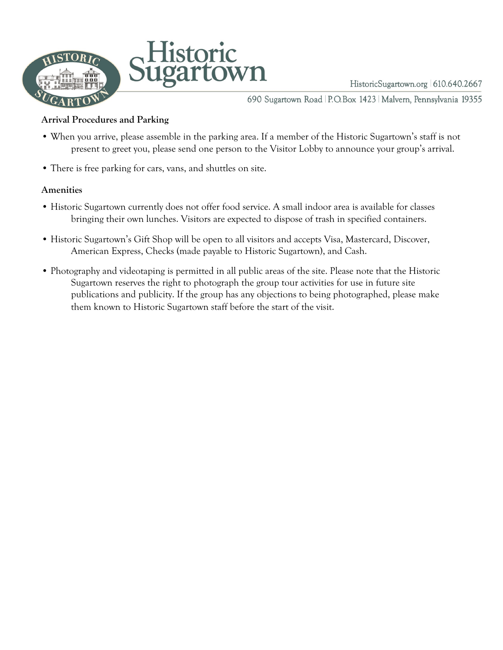

HistoricSugartown.org 610.640.2667

690 Sugartown Road | P.O.Box 1423 | Malvern, Pennsylvania 19355

#### **Arrival Procedures and Parking**

- When you arrive, please assemble in the parking area. If a member of the Historic Sugartown's staff is not present to greet you, please send one person to the Visitor Lobby to announce your group's arrival.
- There is free parking for cars, vans, and shuttles on site.

#### **Amenities**

- Historic Sugartown currently does not offer food service. A small indoor area is available for classes bringing their own lunches. Visitors are expected to dispose of trash in specified containers.
- Historic Sugartown's Gift Shop will be open to all visitors and accepts Visa, Mastercard, Discover, American Express, Checks (made payable to Historic Sugartown), and Cash.
- Photography and videotaping is permitted in all public areas of the site. Please note that the Historic Sugartown reserves the right to photograph the group tour activities for use in future site publications and publicity. If the group has any objections to being photographed, please make them known to Historic Sugartown staff before the start of the visit.